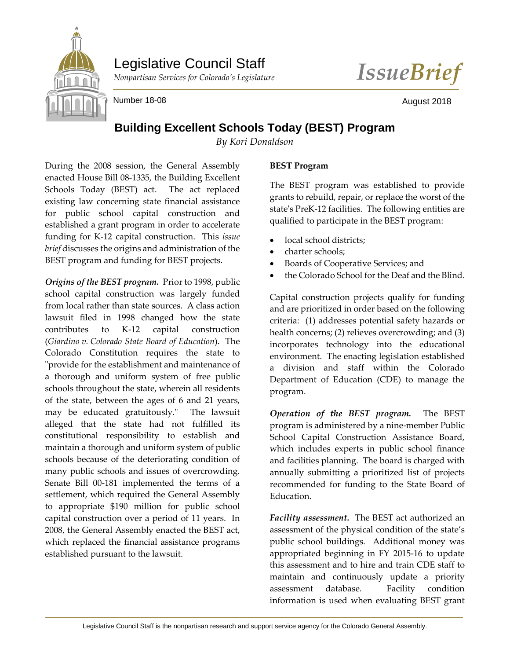

## Legislative Council Staff



Number 18-08 **August 2018** August 2018

## **Building Excellent Schools Today (BEST) Program**

*By Kori Donaldson*

During the 2008 session, the General Assembly enacted House Bill 08-1335, the Building Excellent Schools Today (BEST) act. The act replaced existing law concerning state financial assistance for public school capital construction and established a grant program in order to accelerate funding for K-12 capital construction. This *issue brief* discusses the origins and administration of the BEST program and funding for BEST projects.

*Origins of the BEST program.* Prior to 1998, public school capital construction was largely funded from local rather than state sources. A class action lawsuit filed in 1998 changed how the state contributes to K-12 capital construction (*Giardino v. Colorado State Board of Education*). The Colorado Constitution requires the state to "provide for the establishment and maintenance of a thorough and uniform system of free public schools throughout the state, wherein all residents of the state, between the ages of 6 and 21 years, may be educated gratuitously." The lawsuit alleged that the state had not fulfilled its constitutional responsibility to establish and maintain a thorough and uniform system of public schools because of the deteriorating condition of many public schools and issues of overcrowding. Senate Bill 00-181 implemented the terms of a settlement, which required the General Assembly to appropriate \$190 million for public school capital construction over a period of 11 years. In 2008, the General Assembly enacted the BEST act, which replaced the financial assistance programs established pursuant to the lawsuit.

## **BEST Program**

The BEST program was established to provide grants to rebuild, repair, or replace the worst of the state's PreK-12 facilities. The following entities are qualified to participate in the BEST program:

- local school districts;
- charter schools;
- Boards of Cooperative Services; and
- the Colorado School for the Deaf and the Blind.

Capital construction projects qualify for funding and are prioritized in order based on the following criteria: (1) addresses potential safety hazards or health concerns; (2) relieves overcrowding; and (3) incorporates technology into the educational environment. The enacting legislation established a division and staff within the Colorado Department of Education (CDE) to manage the program.

*Operation of the BEST program.* The BEST program is administered by a nine-member Public School Capital Construction Assistance Board, which includes experts in public school finance and facilities planning. The board is charged with annually submitting a prioritized list of projects recommended for funding to the State Board of Education.

*Facility assessment.* The BEST act authorized an assessment of the physical condition of the state's public school buildings. Additional money was appropriated beginning in FY 2015-16 to update this assessment and to hire and train CDE staff to maintain and continuously update a priority assessment database. Facility condition information is used when evaluating BEST grant